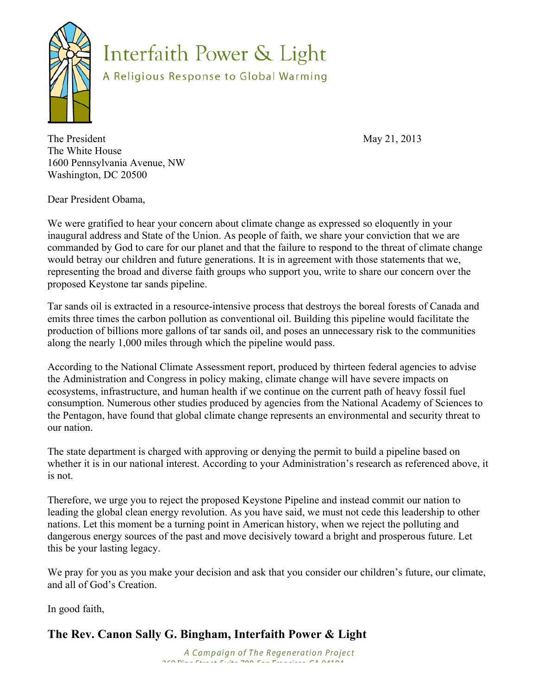

Interfaith Power & Light

A Religious Response to Global Warming

The President May 21, 2013 The White House 1600 Pennsylvania Avenue, NW Washington, DC 20500

Dear President Obama,

We were gratified to hear your concern about climate change as expressed so eloquently in your inaugural address and State of the Union. As people of faith, we share your conviction that we are commanded by God to care for our planet and that the failure to respond to the threat of climate change would betray our children and future generations. It is in agreement with those statements that we, representing the broad and diverse faith groups who support you, write to share our concern over the proposed Keystone tar sands pipeline.

Tar sands oil is extracted in a resource-intensive process that destroys the boreal forests of Canada and emits three times the carbon pollution as conventional oil. Building this pipeline would facilitate the production of billions more gallons of tar sands oil, and poses an unnecessary risk to the communities along the nearly 1,000 miles through which the pipeline would pass.

According to the National Climate Assessment report, produced by thirteen federal agencies to advise the Administration and Congress in policy making, climate change will have severe impacts on ecosystems, infrastructure, and human health if we continue on the current path of heavy fossil fuel consumption. Numerous other studies produced by agencies from the National Academy of Sciences to the Pentagon, have found that global climate change represents an environmental and security threat to our nation.

The state department is charged with approving or denying the permit to build a pipeline based on whether it is in our national interest. According to your Administration's research as referenced above, it is not.

Therefore, we urge you to reject the proposed Keystone Pipeline and instead commit our nation to leading the global clean energy revolution. As you have said, we must not cede this leadership to other nations. Let this moment be a turning point in American history, when we reject the polluting and dangerous energy sources of the past and move decisively toward a bright and prosperous future. Let this be your lasting legacy.

We pray for you as you make your decision and ask that you consider our children's future, our climate, and all of God's Creation.

In good faith,

## **The Rev. Canon Sally G. Bingham, Interfaith Power & Light**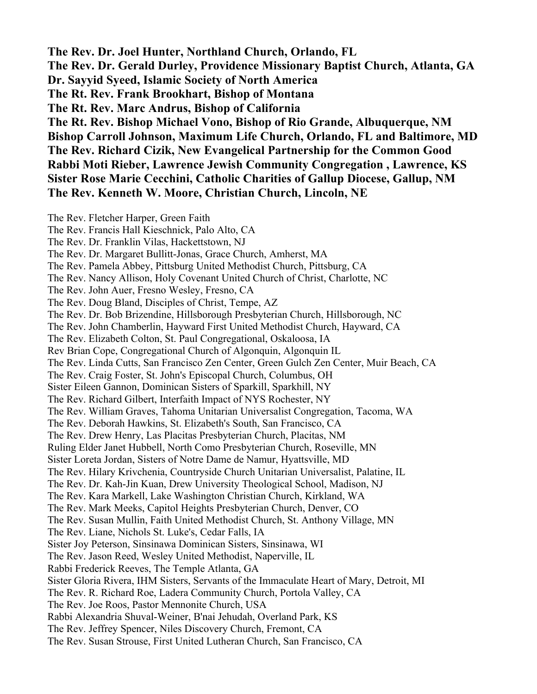**The Rev. Dr. Joel Hunter, Northland Church, Orlando, FL The Rev. Dr. Gerald Durley, Providence Missionary Baptist Church, Atlanta, GA Dr. Sayyid Syeed, Islamic Society of North America The Rt. Rev. Frank Brookhart, Bishop of Montana The Rt. Rev. Marc Andrus, Bishop of California The Rt. Rev. Bishop Michael Vono, Bishop of Rio Grande, Albuquerque, NM Bishop Carroll Johnson, Maximum Life Church, Orlando, FL and Baltimore, MD The Rev. Richard Cizik, New Evangelical Partnership for the Common Good Rabbi Moti Rieber, Lawrence Jewish Community Congregation , Lawrence, KS Sister Rose Marie Cecchini, Catholic Charities of Gallup Diocese, Gallup, NM The Rev. Kenneth W. Moore, Christian Church, Lincoln, NE** 

The Rev. Fletcher Harper, Green Faith The Rev. Francis Hall Kieschnick, Palo Alto, CA The Rev. Dr. Franklin Vilas, Hackettstown, NJ The Rev. Dr. Margaret Bullitt-Jonas, Grace Church, Amherst, MA The Rev. Pamela Abbey, Pittsburg United Methodist Church, Pittsburg, CA The Rev. Nancy Allison, Holy Covenant United Church of Christ, Charlotte, NC The Rev. John Auer, Fresno Wesley, Fresno, CA The Rev. Doug Bland, Disciples of Christ, Tempe, AZ The Rev. Dr. Bob Brizendine, Hillsborough Presbyterian Church, Hillsborough, NC The Rev. John Chamberlin, Hayward First United Methodist Church, Hayward, CA The Rev. Elizabeth Colton, St. Paul Congregational, Oskaloosa, IA Rev Brian Cope, Congregational Church of Algonquin, Algonquin IL The Rev. Linda Cutts, San Francisco Zen Center, Green Gulch Zen Center, Muir Beach, CA The Rev. Craig Foster, St. John's Episcopal Church, Columbus, OH Sister Eileen Gannon, Dominican Sisters of Sparkill, Sparkhill, NY The Rev. Richard Gilbert, Interfaith Impact of NYS Rochester, NY The Rev. William Graves, Tahoma Unitarian Universalist Congregation, Tacoma, WA The Rev. Deborah Hawkins, St. Elizabeth's South, San Francisco, CA The Rev. Drew Henry, Las Placitas Presbyterian Church, Placitas, NM Ruling Elder Janet Hubbell, North Como Presbyterian Church, Roseville, MN Sister Loreta Jordan, Sisters of Notre Dame de Namur, Hyattsville, MD The Rev. Hilary Krivchenia, Countryside Church Unitarian Universalist, Palatine, IL The Rev. Dr. Kah-Jin Kuan, Drew University Theological School, Madison, NJ The Rev. Kara Markell, Lake Washington Christian Church, Kirkland, WA The Rev. Mark Meeks, Capitol Heights Presbyterian Church, Denver, CO The Rev. Susan Mullin, Faith United Methodist Church, St. Anthony Village, MN The Rev. Liane, Nichols St. Luke's, Cedar Falls, IA Sister Joy Peterson, Sinsinawa Dominican Sisters, Sinsinawa, WI The Rev. Jason Reed, Wesley United Methodist, Naperville, IL Rabbi Frederick Reeves, The Temple Atlanta, GA Sister Gloria Rivera, IHM Sisters, Servants of the Immaculate Heart of Mary, Detroit, MI The Rev. R. Richard Roe, Ladera Community Church, Portola Valley, CA The Rev. Joe Roos, Pastor Mennonite Church, USA Rabbi Alexandria Shuval-Weiner, B'nai Jehudah, Overland Park, KS The Rev. Jeffrey Spencer, Niles Discovery Church, Fremont, CA The Rev. Susan Strouse, First United Lutheran Church, San Francisco, CA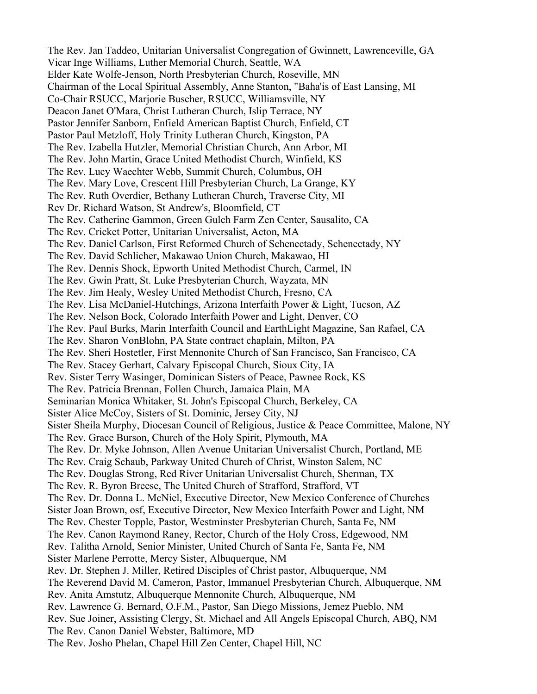The Rev. Jan Taddeo, Unitarian Universalist Congregation of Gwinnett, Lawrenceville, GA Vicar Inge Williams, Luther Memorial Church, Seattle, WA Elder Kate Wolfe-Jenson, North Presbyterian Church, Roseville, MN Chairman of the Local Spiritual Assembly, Anne Stanton, "Baha'is of East Lansing, MI Co-Chair RSUCC, Marjorie Buscher, RSUCC, Williamsville, NY Deacon Janet O'Mara, Christ Lutheran Church, Islip Terrace, NY Pastor Jennifer Sanborn, Enfield American Baptist Church, Enfield, CT Pastor Paul Metzloff, Holy Trinity Lutheran Church, Kingston, PA The Rev. Izabella Hutzler, Memorial Christian Church, Ann Arbor, MI The Rev. John Martin, Grace United Methodist Church, Winfield, KS The Rev. Lucy Waechter Webb, Summit Church, Columbus, OH The Rev. Mary Love, Crescent Hill Presbyterian Church, La Grange, KY The Rev. Ruth Overdier, Bethany Lutheran Church, Traverse City, MI Rev Dr. Richard Watson, St Andrew's, Bloomfield, CT The Rev. Catherine Gammon, Green Gulch Farm Zen Center, Sausalito, CA The Rev. Cricket Potter, Unitarian Universalist, Acton, MA The Rev. Daniel Carlson, First Reformed Church of Schenectady, Schenectady, NY The Rev. David Schlicher, Makawao Union Church, Makawao, HI The Rev. Dennis Shock, Epworth United Methodist Church, Carmel, IN The Rev. Gwin Pratt, St. Luke Presbyterian Church, Wayzata, MN The Rev. Jim Healy, Wesley United Methodist Church, Fresno, CA The Rev. Lisa McDaniel-Hutchings, Arizona Interfaith Power & Light, Tucson, AZ The Rev. Nelson Bock, Colorado Interfaith Power and Light, Denver, CO The Rev. Paul Burks, Marin Interfaith Council and EarthLight Magazine, San Rafael, CA The Rev. Sharon VonBlohn, PA State contract chaplain, Milton, PA The Rev. Sheri Hostetler, First Mennonite Church of San Francisco, San Francisco, CA The Rev. Stacey Gerhart, Calvary Episcopal Church, Sioux City, IA Rev. Sister Terry Wasinger, Dominican Sisters of Peace, Pawnee Rock, KS The Rev. Patricia Brennan, Follen Church, Jamaica Plain, MA Seminarian Monica Whitaker, St. John's Episcopal Church, Berkeley, CA Sister Alice McCoy, Sisters of St. Dominic, Jersey City, NJ Sister Sheila Murphy, Diocesan Council of Religious, Justice & Peace Committee, Malone, NY The Rev. Grace Burson, Church of the Holy Spirit, Plymouth, MA The Rev. Dr. Myke Johnson, Allen Avenue Unitarian Universalist Church, Portland, ME The Rev. Craig Schaub, Parkway United Church of Christ, Winston Salem, NC The Rev. Douglas Strong, Red River Unitarian Universalist Church, Sherman, TX The Rev. R. Byron Breese, The United Church of Strafford, Strafford, VT The Rev. Dr. Donna L. McNiel, Executive Director, New Mexico Conference of Churches Sister Joan Brown, osf, Executive Director, New Mexico Interfaith Power and Light, NM The Rev. Chester Topple, Pastor, Westminster Presbyterian Church, Santa Fe, NM The Rev. Canon Raymond Raney, Rector, Church of the Holy Cross, Edgewood, NM Rev. Talitha Arnold, Senior Minister, United Church of Santa Fe, Santa Fe, NM Sister Marlene Perrotte, Mercy Sister, Albuquerque, NM Rev. Dr. Stephen J. Miller, Retired Disciples of Christ pastor, Albuquerque, NM The Reverend David M. Cameron, Pastor, Immanuel Presbyterian Church, Albuquerque, NM Rev. Anita Amstutz, Albuquerque Mennonite Church, Albuquerque, NM Rev. Lawrence G. Bernard, O.F.M., Pastor, San Diego Missions, Jemez Pueblo, NM Rev. Sue Joiner, Assisting Clergy, St. Michael and All Angels Episcopal Church, ABQ, NM The Rev. Canon Daniel Webster, Baltimore, MD The Rev. Josho Phelan, Chapel Hill Zen Center, Chapel Hill, NC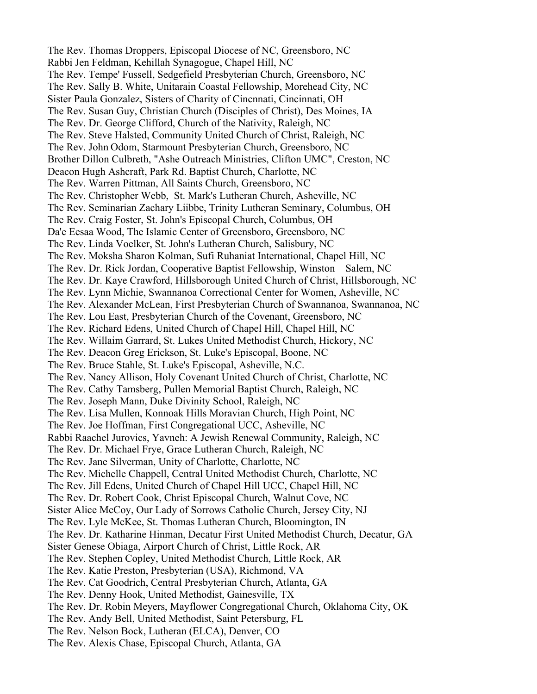The Rev. Thomas Droppers, Episcopal Diocese of NC, Greensboro, NC Rabbi Jen Feldman, Kehillah Synagogue, Chapel Hill, NC The Rev. Tempe' Fussell, Sedgefield Presbyterian Church, Greensboro, NC The Rev. Sally B. White, Unitarain Coastal Fellowship, Morehead City, NC Sister Paula Gonzalez, Sisters of Charity of Cincnnati, Cincinnati, OH The Rev. Susan Guy, Christian Church (Disciples of Christ), Des Moines, IA The Rev. Dr. George Clifford, Church of the Nativity, Raleigh, NC The Rev. Steve Halsted, Community United Church of Christ, Raleigh, NC The Rev. John Odom, Starmount Presbyterian Church, Greensboro, NC Brother Dillon Culbreth, "Ashe Outreach Ministries, Clifton UMC", Creston, NC Deacon Hugh Ashcraft, Park Rd. Baptist Church, Charlotte, NC The Rev. Warren Pittman, All Saints Church, Greensboro, NC The Rev. Christopher Webb, St. Mark's Lutheran Church, Asheville, NC The Rev. Seminarian Zachary Liibbe, Trinity Lutheran Seminary, Columbus, OH The Rev. Craig Foster, St. John's Episcopal Church, Columbus, OH Da'e Eesaa Wood, The Islamic Center of Greensboro, Greensboro, NC The Rev. Linda Voelker, St. John's Lutheran Church, Salisbury, NC The Rev. Moksha Sharon Kolman, Sufi Ruhaniat International, Chapel Hill, NC The Rev. Dr. Rick Jordan, Cooperative Baptist Fellowship, Winston – Salem, NC The Rev. Dr. Kaye Crawford, Hillsborough United Church of Christ, Hillsborough, NC The Rev. Lynn Michie, Swannanoa Correctional Center for Women, Asheville, NC The Rev. Alexander McLean, First Presbyterian Church of Swannanoa, Swannanoa, NC The Rev. Lou East, Presbyterian Church of the Covenant, Greensboro, NC The Rev. Richard Edens, United Church of Chapel Hill, Chapel Hill, NC The Rev. Willaim Garrard, St. Lukes United Methodist Church, Hickory, NC The Rev. Deacon Greg Erickson, St. Luke's Episcopal, Boone, NC The Rev. Bruce Stahle, St. Luke's Episcopal, Asheville, N.C. The Rev. Nancy Allison, Holy Covenant United Church of Christ, Charlotte, NC The Rev. Cathy Tamsberg, Pullen Memorial Baptist Church, Raleigh, NC The Rev. Joseph Mann, Duke Divinity School, Raleigh, NC The Rev. Lisa Mullen, Konnoak Hills Moravian Church, High Point, NC The Rev. Joe Hoffman, First Congregational UCC, Asheville, NC Rabbi Raachel Jurovics, Yavneh: A Jewish Renewal Community, Raleigh, NC The Rev. Dr. Michael Frye, Grace Lutheran Church, Raleigh, NC The Rev. Jane Silverman, Unity of Charlotte, Charlotte, NC The Rev. Michelle Chappell, Central United Methodist Church, Charlotte, NC The Rev. Jill Edens, United Church of Chapel Hill UCC, Chapel Hill, NC The Rev. Dr. Robert Cook, Christ Episcopal Church, Walnut Cove, NC Sister Alice McCoy, Our Lady of Sorrows Catholic Church, Jersey City, NJ The Rev. Lyle McKee, St. Thomas Lutheran Church, Bloomington, IN The Rev. Dr. Katharine Hinman, Decatur First United Methodist Church, Decatur, GA Sister Genese Obiaga, Airport Church of Christ, Little Rock, AR The Rev. Stephen Copley, United Methodist Church, Little Rock, AR The Rev. Katie Preston, Presbyterian (USA), Richmond, VA The Rev. Cat Goodrich, Central Presbyterian Church, Atlanta, GA The Rev. Denny Hook, United Methodist, Gainesville, TX The Rev. Dr. Robin Meyers, Mayflower Congregational Church, Oklahoma City, OK The Rev. Andy Bell, United Methodist, Saint Petersburg, FL The Rev. Nelson Bock, Lutheran (ELCA), Denver, CO The Rev. Alexis Chase, Episcopal Church, Atlanta, GA